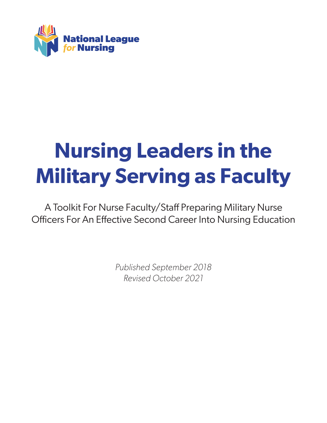

# **Nursing Leaders in the Military Serving as Faculty**

A Toolkit For Nurse Faculty/Staff Preparing Military Nurse Officers For An Effective Second Career Into Nursing Education

> *Published September 2018 Revised October 2021*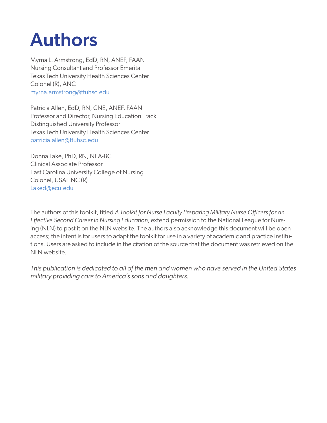## Authors

Myrna L. Armstrong, EdD, RN, ANEF, FAAN Nursing Consultant and Professor Emerita Texas Tech University Health Sciences Center Colonel (R), ANC myrna.armstrong@ttuhsc.edu

Patricia Allen, EdD, RN, CNE, ANEF, FAAN Professor and Director, Nursing Education Track Distinguished University Professor Texas Tech University Health Sciences Center patricia.allen@ttuhsc.edu

Donna Lake, PhD, RN, NEA-BC Clinical Associate Professor East Carolina University College of Nursing Colonel, USAF NC (R) Laked@ecu.edu

The authors of this toolkit, titled *A Toolkit for Nurse Faculty Preparing Military Nurse Officers for an Effective Second Career in Nursing Education,* extend permission to the National League for Nursing (NLN) to post it on the NLN website. The authors also acknowledge this document will be open access; the intent is for users to adapt the toolkit for use in a variety of academic and practice institutions. Users are asked to include in the citation of the source that the document was retrieved on the NLN website.

*This publication is dedicated to all of the men and women who have served in the United States military providing care to America's sons and daughters.*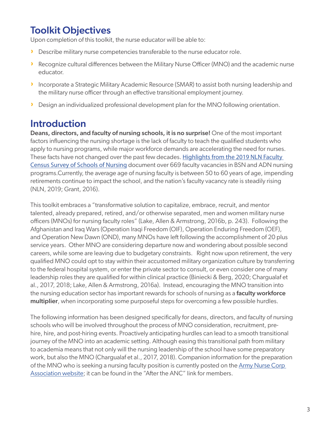## Toolkit Objectives

Upon completion of this toolkit, the nurse educator will be able to:

- › Describe military nurse competencies transferable to the nurse educator role.
- › Recognize cultural differences between the Military Nurse Officer (MNO) and the academic nurse educator.
- › Incorporate a Strategic Military Academic Resource (SMAR) to assist both nursing leadership and the military nurse officer through an effective transitional employment journey.
- › Design an individualized professional development plan for the MNO following orientation.

## Introduction

Deans, directors, and faculty of nursing schools, it is no surprise! One of the most important factors influencing the nursing shortage is the lack of faculty to teach the qualified students who apply to nursing programs, while major workforce demands are accelerating the need for nurses. These facts have not changed over the past few decades. Highlights from the 2019 NLN Faculty Census Survey of Schools of Nursing document over 669 faculty vacancies in BSN and ADN nursing programs.Currently, the average age of nursing faculty is between 50 to 60 years of age, impending retirements continue to impact the school, and the nation's faculty vacancy rate is steadily rising (NLN, 2019; Grant, 2016).

This toolkit embraces a "transformative solution to capitalize, embrace, recruit, and mentor talented, already prepared, retired, and/or otherwise separated, men and women military nurse officers (MNOs) for nursing faculty roles" (Lake, Allen & Armstrong, 2016b, p. 243). Following the Afghanistan and Iraq Wars (Operation Iraqi Freedom (OIF), Operation Enduring Freedom (OEF), and Operation New Dawn (OND), many MNOs have left following the accomplishment of 20 plus service years. Other MNO are considering departure now and wondering about possible second careers, while some are leaving due to budgetary constraints. Right now upon retirement, the very qualified MNO could opt to stay within their accustomed military organization culture by transferring to the federal hospital system, or enter the private sector to consult, or even consider one of many leadership roles they are qualified for within clinical practice (Biniecki & Berg, 2020; Chargualaf et al., 2017, 2018; Lake, Allen & Armstrong, 2016a). Instead, encouraging the MNO transition into the nursing education sector has important rewards for schools of nursing as a faculty workforce multiplier, when incorporating some purposeful steps for overcoming a few possible hurdles.

The following information has been designed specifically for deans, directors, and faculty of nursing schools who will be involved throughout the process of MNO consideration, recruitment, prehire, hire, and post-hiring events. Proactively anticipating hurdles can lead to a smooth transitional journey of the MNO into an academic setting. Although easing this transitional path from military to academia means that not only will the nursing leadership of the school have some preparatory work, but also the MNO (Chargualaf et al., 2017, 2018). Companion information for the preparation of the MNO who is seeking a nursing faculty position is currently posted on the Army Nurse Corp Association website; it can be found in the "After the ANC" link for members.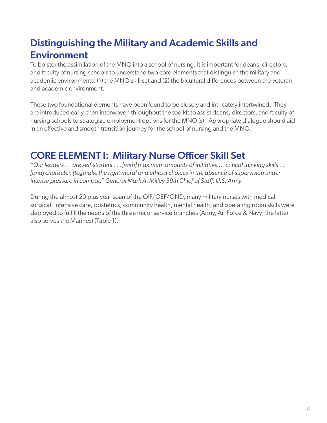## Distinguishing the Military and Academic Skills and Environment

To bolster the assimilation of the MNO into a school of nursing, it is important for deans, directors, and faculty of nursing schools to understand two core elements that distinguish the military and academic environments: (1) the MNO skill set and (2) the bicultural differences between the veteran and academic environment.

These two foundational elements have been found to be closely and intricately intertwined. They are introduced early, then interwoven throughout the toolkit to assist deans, directors, and faculty of nursing schools to strategize employment options for the MNO (s). Appropriate dialogue should aid in an effective and smooth transition journey for the school of nursing and the MNO.

## CORE ELEMENT I: Military Nurse Officer Skill Set

*"Our leaders . . are self-starters . . . [with] maximum amounts of initiative ... critical thinking skills ... [and] character, [to][make the right moral and ethical choices in the absence of supervision under intense pressure in combat." General Mark A. Milley 39th Chief of Staff, U.S. Army*

During the almost 20 plus year span of the OIF/OEF/OND, many military nurses with medicalsurgical, intensive care, obstetrics, community health, mental health, and operating room skills were deployed to fulfill the needs of the three major service branches (Army, Air Force & Navy; the latter also serves the Marines) (Table 1).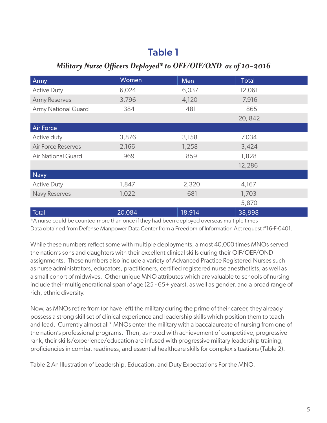## Table 1

#### *Military Nurse Officers Deployed\* to OEF/OIF/OND as of 10-2016*

| Army                       | Women  | Men    | <b>Total</b> |
|----------------------------|--------|--------|--------------|
| <b>Active Duty</b>         | 6,024  | 6,037  | 12,061       |
| <b>Army Reserves</b>       | 3,796  | 4,120  | 7,916        |
| <b>Army National Guard</b> | 384    | 481    | 865          |
|                            |        |        | 20,842       |
| <b>Air Force</b>           |        |        |              |
| Active duty                | 3,876  | 3,158  | 7,034        |
| <b>Air Force Reserves</b>  | 2,166  | 1,258  | 3,424        |
| <b>Air National Guard</b>  | 969    | 859    | 1,828        |
|                            |        |        | 12,286       |
| <b>Navy</b>                |        |        |              |
| <b>Active Duty</b>         | 1,847  | 2,320  | 4,167        |
| Navy Reserves              | 1,022  | 681    | 1,703        |
|                            |        |        | 5,870        |
| Total                      | 20,084 | 18,914 | 38,998       |

\*A nurse could be counted more than once if they had been deployed overseas multiple times Data obtained from Defense Manpower Data Center from a Freedom of Information Act request #16-F-0401.

While these numbers reflect some with multiple deployments, almost 40,000 times MNOs served the nation's sons and daughters with their excellent clinical skills during their OIF/OEF/OND assignments. These numbers also include a variety of Advanced Practice Registered Nurses such as nurse administrators, educators, practitioners, certified registered nurse anesthetists, as well as a small cohort of midwives. Other unique MNO attributes which are valuable to schools of nursing include their multigenerational span of age (25 - 65+ years), as well as gender, and a broad range of rich, ethnic diversity.

Now, as MNOs retire from (or have left) the military during the prime of their career, they already possess a strong skill set of clinical experience and leadership skills which position them to teach and lead. Currently almost all\* MNOs enter the military with a baccalaureate of nursing from one of the nation's professional programs. Then, as noted with achievement of competitive, progressive rank, their skills/experience/education are infused with progressive military leadership training, proficiencies in combat readiness, and essential healthcare skills for complex situations (Table 2).

Table 2 An Illustration of Leadership, Education, and Duty Expectations For the MNO.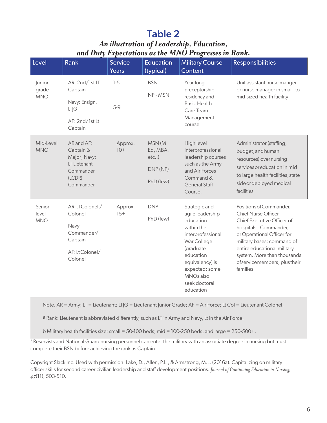## Table 2

#### *An illustration of Leadership, Education, and Duty Expectations as the MNO Progresses in Rank.*

| Level                          | <b>Rank</b>                                                                                 | <b>Service</b><br>Years | <b>Education</b><br>(typical)                        | <b>Military Course</b><br>Content                                                                                                                                                                                      | <b>Responsibilities</b>                                                                                                                                                                                                                                                     |
|--------------------------------|---------------------------------------------------------------------------------------------|-------------------------|------------------------------------------------------|------------------------------------------------------------------------------------------------------------------------------------------------------------------------------------------------------------------------|-----------------------------------------------------------------------------------------------------------------------------------------------------------------------------------------------------------------------------------------------------------------------------|
| Junior<br>grade<br><b>MNO</b>  | AR: 2nd/1st LT<br>Captain<br>Navy: Ensign,<br>LT G<br>AF: 2nd/1st Lt<br>Captain             | $1-5$<br>$5-9$          | <b>BSN</b><br>NP-MSN                                 | Year-long<br>preceptorship<br>residency and<br><b>Basic Health</b><br>Care Team<br>Management<br>course                                                                                                                | Unit assistant nurse manger<br>or nurse manager in small-to<br>mid-sized health facility                                                                                                                                                                                    |
| Mid-Level<br><b>MNO</b>        | AR and AF:<br>Captain &<br>Major; Navy:<br>LT Lietenant<br>Commander<br>(LCDR)<br>Commander | Approx.<br>$10+$        | MSN (M<br>Ed, MBA,<br>etc.,<br>DNP (NP)<br>PhD (few) | High level<br>interprofessional<br>leadership courses<br>such as the Army<br>and Air Forces<br>Command &<br><b>General Staff</b><br>Course.                                                                            | Administrator (staffing,<br>budget, and human<br>resources) overnursing<br>services or education in mid<br>to large health facilities, state<br>side or deployed medical<br>facilities                                                                                      |
| Senior-<br>level<br><b>MNO</b> | AR: LTColonel /<br>Colonel<br>Navy<br>Commander/<br>Captain<br>AF:LtColonel/<br>Colonel     | Approx.<br>$15+$        | <b>DNP</b><br>PhD (few)                              | Strategic and<br>agile leadership<br>education<br>within the<br>interprofessional<br>War College<br>(graduate<br>education<br>equivalency) is<br>expected; some<br>MNO <sub>s</sub> also<br>seek doctoral<br>education | Positions of Commander,<br>Chief Nurse Officer,<br>Chief Executive Officer of<br>hospitals; Commander,<br>or Operational Officer for<br>military bases; command of<br>entire educational military<br>system. More than thousands<br>ofservicemembers, plustheir<br>families |

Note. AR = Army; LT = Lieutenant; LTJG = Lieutenant Junior Grade; AF = Air Force; Lt Col = Lieutenant Colonel.

a Rank: Lieutenant is abbreviated differently, such as LT in Army and Navy, Lt in the Air Force.

b Military health facilities size: small = 50-100 beds; mid = 100-250 beds; and large = 250-500+.

\*Reservists and National Guard nursing personnel can enter the military with an associate degree in nursing but must complete their BSN before achieving the rank as Captain.

Copyright Slack Inc. Used with permission: Lake, D., Allen, P.L., & Armstrong, M.L. (2016a). Capitalizing on military officer skills for second career civilian leadership and staff development positions. *Journal of Continuing Education in Nursing, 47*(11), 503-510.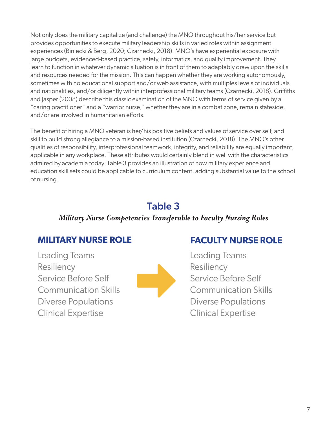Not only does the military capitalize (and challenge) the MNO throughout his/her service but provides opportunities to execute military leadership skills in varied roles within assignment experiences (Biniecki & Berg, 2020; Czarnecki, 2018). MNO's have experiential exposure with large budgets, evidenced-based practice, safety, informatics, and quality improvement. They learn to function in whatever dynamic situation is in front of them to adaptably draw upon the skills and resources needed for the mission. This can happen whether they are working autonomously, sometimes with no educational support and/or web assistance, with multiples levels of individuals and nationalities, and/or diligently within interprofessional military teams (Czarnecki, 2018). Griffiths and Jasper (2008) describe this classic examination of the MNO with terms of service given by a "caring practitioner" and a "warrior nurse," whether they are in a combat zone, remain stateside, and/or are involved in humanitarian efforts.

The benefit of hiring a MNO veteran is her/his positive beliefs and values of service over self, and skill to build strong allegiance to a mission-based institution (Czarnecki, 2018). The MNO's other qualities of responsibility, interprofessional teamwork, integrity, and reliability are equally important, applicable in any workplace. These attributes would certainly blend in well with the characteristics admired by academia today. Table 3 provides an illustration of how military experience and education skill sets could be applicable to curriculum content, adding substantial value to the school of nursing.

## Table 3

#### *Military Nurse Competencies Transferable to Faculty Nursing Roles*

## **MILITARY NURSE ROLE**

**Leading Teams** Resiliency Service Before Self **Communication Skills Diverse Populations Clinical Expertise** 



## **FACULTY NURSE ROLE**

**Leading Teams** Resiliency Service Before Self **Communication Skills Diverse Populations Clinical Expertise**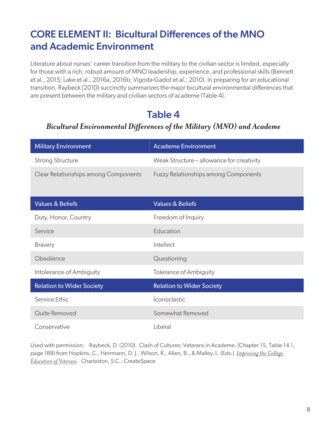## CORE ELEMENT II: Bicultural Differences of the MNO and Academic Environment

Literature about nurses' career transition from the military to the civilian sector is limited, especially for those with a rich, robust amount of MNO leadership, experience, and professional skills (Bennett et al., 2015; Lake et al., 2016a, 2016b; Vigoda-Gadot et al., 2010). In preparing for an educational transition, Raybeck (2010) succinctly summarizes the major bicultural environmental differences that are present between the military and civilian sectors of academe (Table 4).

## Table 4

#### *Bicultural Environmental Differences of the Military (MNO) and Academe*

| <b>Military Environment</b>          | <b>Academe Environment</b>                  |
|--------------------------------------|---------------------------------------------|
| <b>Strong Structure</b>              | Weak Structure - allowance for creativity   |
| Clear Relationships among Components | <b>Fuzzy Relationships among Components</b> |
|                                      |                                             |
| <b>Values &amp; Beliefs</b>          | <b>Values &amp; Beliefs</b>                 |
| Duty, Honor, Country                 | Freedom of Inquiry                          |
| Service                              | Education                                   |
| <b>Bravery</b>                       | Intellect                                   |
| Obedience                            | Questioning                                 |
| Intolerance of Ambiguity             | <b>Tolerance of Ambiguity</b>               |
| <b>Relation to Wider Society</b>     | <b>Relation to Wider Society</b>            |
| Service Ethic                        | Iconoclastic                                |
| Quite Removed                        | Somewhat Removed                            |
| Conservative                         | Liberal                                     |

Used with permission: Raybeck, D. (2010). Clash of Cultures: Veterans in Academe, (Chapter 15, Table 14.1, page 188) from Hopkins, C., Herrmann, D. J., Wilson, R., Allen, B., & Malley, L. (Eds.) *Improving the College Education of Veterans.* Charleston, S.C.: CreateSpace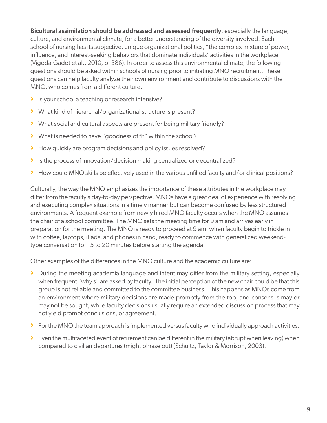Bicultural assimilation should be addressed and assessed frequently, especially the language, culture, and environmental climate, for a better understanding of the diversity involved. Each school of nursing has its subjective, unique organizational politics, "the complex mixture of power, influence, and interest-seeking behaviors that dominate individuals' activities in the workplace (Vigoda-Gadot et al., 2010, p. 386). In order to assess this environmental climate, the following questions should be asked within schools of nursing prior to initiating MNO recruitment. These questions can help faculty analyze their own environment and contribute to discussions with the MNO, who comes from a different culture.

- › Is your school a teaching or research intensive?
- › What kind of hierarchal/organizational structure is present?
- › What social and cultural aspects are present for being military friendly?
- › What is needed to have "goodness of fit" within the school?
- › How quickly are program decisions and policy issues resolved?
- › Is the process of innovation/decision making centralized or decentralized?
- › How could MNO skills be effectively used in the various unfilled faculty and/or clinical positions?

Culturally, the way the MNO emphasizes the importance of these attributes in the workplace may differ from the faculty's day-to-day perspective. MNOs have a great deal of experience with resolving and executing complex situations in a timely manner but can become confused by less structured environments. A frequent example from newly hired MNO faculty occurs when the MNO assumes the chair of a school committee. The MNO sets the meeting time for 9 am and arrives early in preparation for the meeting. The MNO is ready to proceed at 9 am, when faculty begin to trickle in with coffee, laptops, iPads, and phones in hand, ready to commence with generalized weekendtype conversation for 15 to 20 minutes before starting the agenda.

Other examples of the differences in the MNO culture and the academic culture are:

- › During the meeting academia language and intent may differ from the military setting, especially when frequent "why's" are asked by faculty. The initial perception of the new chair could be that this group is not reliable and committed to the committee business. This happens as MNOs come from an environment where military decisions are made promptly from the top, and consensus may or may not be sought, while faculty decisions usually require an extended discussion process that may not yield prompt conclusions, or agreement.
- › For the MNO the team approach is implemented versus faculty who individually approach activities.
- › Even the multifaceted event of retirement can be different in the military (abrupt when leaving) when compared to civilian departures (might phrase out) (Schultz, Taylor & Morrison, 2003).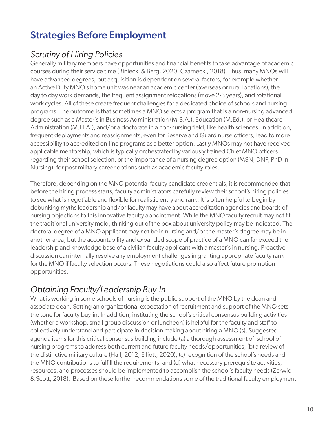## Strategies Before Employment

### *Scrutiny of Hiring Policies*

Generally military members have opportunities and financial benefits to take advantage of academic courses during their service time (Biniecki & Berg, 2020; Czarnecki, 2018). Thus, many MNOs will have advanced degrees, but acquisition is dependent on several factors, for example whether an Active Duty MNO's home unit was near an academic center (overseas or rural locations), the day to day work demands, the frequent assignment relocations (move 2-3 years), and rotational work cycles. All of these create frequent challenges for a dedicated choice of schools and nursing programs. The outcome is that sometimes a MNO selects a program that is a non-nursing advanced degree such as a Master's in Business Administration (M.B.A.), Education (M.Ed.), or Healthcare Administration (M.H.A.), and/or a doctorate in a non-nursing field, like health sciences. In addition, frequent deployments and reassignments, even for Reserve and Guard nurse officers, lead to more accessibility to accredited on-line programs as a better option. Lastly MNOs may not have received applicable mentorship, which is typically orchestrated by variously trained Chief MNO officers regarding their school selection, or the importance of a nursing degree option (MSN, DNP, PhD in Nursing), for post military career options such as academic faculty roles.

Therefore, depending on the MNO potential faculty candidate credentials, it is recommended that before the hiring process starts, faculty administrators carefully review their school's hiring policies to see what is negotiable and flexible for realistic entry and rank. It is often helpful to begin by debunking myths leadership and/or faculty may have about accreditation agencies and boards of nursing objections to this innovative faculty appointment. While the MNO faculty recruit may not fit the traditional university mold, thinking out of the box about university policy may be indicated. The doctoral degree of a MNO applicant may not be in nursing and/or the master's degree may be in another area, but the accountability and expanded scope of practice of a MNO can far exceed the leadership and knowledge base of a civilian faculty applicant with a master's in nursing. Proactive discussion can internally resolve any employment challenges in granting appropriate faculty rank for the MNO if faculty selection occurs. These negotiations could also affect future promotion opportunities.

## *Obtaining Faculty/Leadership Buy-In*

What is working in some schools of nursing is the public support of the MNO by the dean and associate dean. Setting an organizational expectation of recruitment and support of the MNO sets the tone for faculty buy-in. In addition, instituting the school's critical consensus building activities (whether a workshop, small group discussion or luncheon) is helpful for the faculty and staff to collectively understand and participate in decision making about hiring a MNO (s). Suggested agenda items for this critical consensus building include (a) a thorough assessment of school of nursing programs to address both current and future faculty needs/opportunities, (b) a review of the distinctive military culture (Hall, 2012; Elliott, 2020), (c) recognition of the school's needs and the MNO contributions to fulfill the requirements, and (d) what necessary prerequisite activities, resources, and processes should be implemented to accomplish the school's faculty needs (Zerwic & Scott, 2018). Based on these further recommendations some of the traditional faculty employment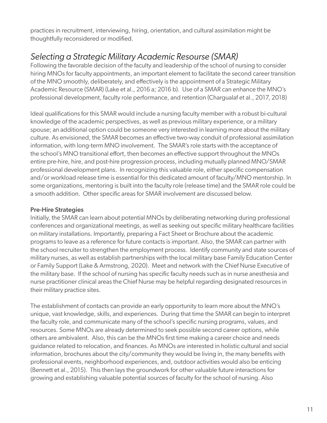practices in recruitment, interviewing, hiring, orientation, and cultural assimilation might be thoughtfully reconsidered or modified.

## *Selecting a Strategic Military Academic Resourse (SMAR)*

Following the favorable decision of the faculty and leadership of the school of nursing to consider hiring MNOs for faculty appointments, an important element to facilitate the second career transition of the MNO smoothly, deliberately, and effectively is the appointment of a Strategic Military Academic Resource (SMAR) (Lake et al., 2016 a; 2016 b). Use of a SMAR can enhance the MNO's professional development, faculty role performance, and retention (Chargualaf et al., 2017, 2018)

Ideal qualifications for this SMAR would include a nursing faculty member with a robust bi-cultural knowledge of the academic perspectives, as well as previous military experience, or a military spouse; an additional option could be someone very interested in learning more about the military culture. As envisioned, the SMAR becomes an effective two-way conduit of professional assimilation information, with long-term MNO involvement. The SMAR's role starts with the acceptance of the school's MNO transitional effort, then becomes an effective support throughout the MNOs entire pre-hire, hire, and post-hire progression process, including mutually planned MNO/SMAR professional development plans. In recognizing this valuable role, either specific compensation and/or workload release time is essential for this dedicated amount of faculty/MNO mentorship. In some organizations, mentoring is built into the faculty role (release time) and the SMAR role could be a smooth addition. Other specific areas for SMAR involvement are discussed below.

#### Pre-Hire Strategies

Initially, the SMAR can learn about potential MNOs by deliberating networking during professional conferences and organizational meetings, as well as seeking out specific military healthcare facilities on military installations. Importantly, preparing a Fact Sheet or Brochure about the academic programs to leave as a reference for future contacts is important. Also, the SMAR can partner with the school recruiter to strengthen the employment process. Identify community and state sources of military nurses, as well as establish partnerships with the local military base Family Education Center or Family Support (Lake & Armstrong, 2020). Meet and network with the Chief Nurse Executive of the military base. If the school of nursing has specific faculty needs such as in nurse anesthesia and nurse practitioner clinical areas the Chief Nurse may be helpful regarding designated resources in their military practice sites.

The establishment of contacts can provide an early opportunity to learn more about the MNO's unique, vast knowledge, skills, and experiences. During that time the SMAR can begin to interpret the faculty role, and communicate many of the school's specific nursing programs, values, and resources. Some MNOs are already determined to seek possible second career options, while others are ambivalent. Also, this can be the MNOs first time making a career choice and needs guidance related to relocation, and finances. As MNOs are interested in holistic cultural and social information, brochures about the city/community they would be living in, the many benefits with professional events, neighborhood experiences, and, outdoor activities would also be enticing (Bennett et al., 2015). This then lays the groundwork for other valuable future interactions for growing and establishing valuable potential sources of faculty for the school of nursing. Also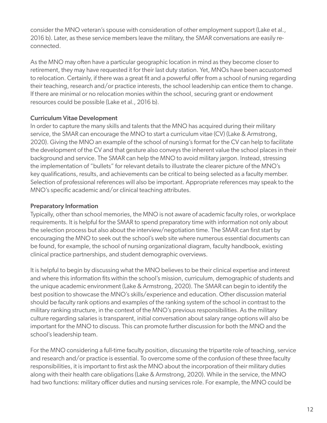consider the MNO veteran's spouse with consideration of other employment support (Lake et al., 2016 b). Later, as these service members leave the military, the SMAR conversations are easily reconnected.

As the MNO may often have a particular geographic location in mind as they become closer to retirement, they may have requested it for their last duty station. Yet, MNOs have been accustomed to relocation. Certainly, if there was a great fit and a powerful offer from a school of nursing regarding their teaching, research and/or practice interests, the school leadership can entice them to change. If there are minimal or no relocation monies within the school, securing grant or endowment resources could be possible (Lake et al., 2016 b).

#### Curriculum Vitae Development

In order to capture the many skills and talents that the MNO has acquired during their military service, the SMAR can encourage the MNO to start a curriculum vitae (CV) (Lake & Armstrong, 2020). Giving the MNO an example of the school of nursing's format for the CV can help to facilitate the development of the CV and that gesture also conveys the inherent value the school places in their background and service. The SMAR can help the MNO to avoid military jargon. Instead, stressing the implementation of "bullets" for relevant details to illustrate the clearer picture of the MNO's key qualifications, results, and achievements can be critical to being selected as a faculty member. Selection of professional references will also be important. Appropriate references may speak to the MNO's specific academic and/or clinical teaching attributes.

#### Preparatory Information

Typically, other than school memories, the MNO is not aware of academic faculty roles, or workplace requirements. It is helpful for the SMAR to spend preparatory time with information not only about the selection process but also about the interview/negotiation time. The SMAR can first start by encouraging the MNO to seek out the school's web site where numerous essential documents can be found, for example, the school of nursing organizational diagram, faculty handbook, existing clinical practice partnerships, and student demographic overviews.

It is helpful to begin by discussing what the MNO believes to be their clinical expertise and interest and where this information fits within the school's mission, curriculum, demographic of students and the unique academic environment (Lake & Armstrong, 2020). The SMAR can begin to identify the best position to showcase the MNO's skills/experience and education. Other discussion material should be faculty rank options and examples of the ranking system of the school in contrast to the military ranking structure, in the context of the MNO's previous responsibilities. As the military culture regarding salaries is transparent, initial conversation about salary range options will also be important for the MNO to discuss. This can promote further discussion for both the MNO and the school's leadership team.

For the MNO considering a full-time faculty position, discussing the tripartite role of teaching, service and research and/or practice is essential. To overcome some of the confusion of these three faculty responsibilities, it is important to first ask the MNO about the incorporation of their military duties along with their health care obligations (Lake & Armstrong, 2020). While in the service, the MNO had two functions: military officer duties and nursing services role. For example, the MNO could be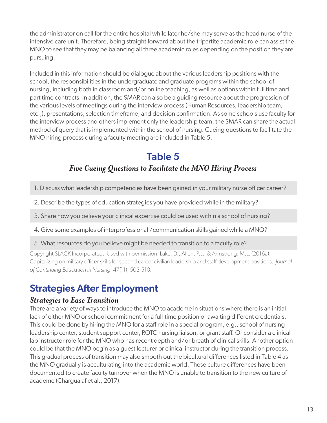the administrator on call for the entire hospital while later he/she may serve as the head nurse of the intensive care unit. Therefore, being straight forward about the tripartite academic role can assist the MNO to see that they may be balancing all three academic roles depending on the position they are pursuing.

Included in this information should be dialogue about the various leadership positions with the school, the responsibilities in the undergraduate and graduate programs within the school of nursing, including both in classroom and/or online teaching, as well as options within full time and part time contracts. In addition, the SMAR can also be a guiding resource about the progression of the various levels of meetings during the interview process (Human Resources, leadership team, etc.,), presentations, selection timeframe, and decision confirmation. As some schools use faculty for the interview process and others implement only the leadership team, the SMAR can share the actual method of query that is implemented within the school of nursing. Cueing questions to facilitate the MNO hiring process during a faculty meeting are included in Table 5.

## Table 5 *Five Cueing Questions to Facilitate the MNO Hiring Process*

- 1. Discuss what leadership competencies have been gained in your military nurse officer career?
- 2. Describe the types of education strategies you have provided while in the military?
- 3. Share how you believe your clinical expertise could be used within a school of nursing?
- 4. Give some examples of interprofessional /communication skills gained while a MNO?
- 5. What resources do you believe might be needed to transition to a faculty role?

Copyright SLACK Incorporated. Used with permission: Lake, D., Allen, P.L., & Armstrong, M.L. (2016a). Capitalizing on military officer skills for second career civilian leadership and staff development positions. *Journal of Continuing Education in Nursing*, 47(11), 503-510.

## Strategies After Employment

#### *Strategies to Ease Transition*

There are a variety of ways to introduce the MNO to academe in situations where there is an initial lack of either MNO or school commitment for a full-time position or awaiting different credentials. This could be done by hiring the MNO for a staff role in a special program, e.g., school of nursing leadership center, student support center, ROTC nursing liaison, or grant staff. Or consider a clinical lab instructor role for the MNO who has recent depth and/or breath of clinical skills. Another option could be that the MNO begin as a guest lecturer or clinical instructor during the transition process. This gradual process of transition may also smooth out the bicultural differences listed in Table 4 as the MNO gradually is acculturating into the academic world. These culture differences have been documented to create faculty turnover when the MNO is unable to transition to the new culture of academe (Chargualaf et al., 2017).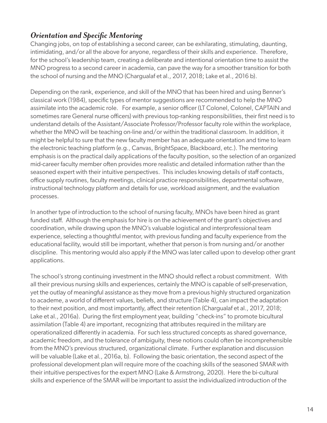#### *Orientation and Specific Mentoring*

Changing jobs, on top of establishing a second career, can be exhilarating, stimulating, daunting, intimidating, and/or all the above for anyone, regardless of their skills and experience. Therefore, for the school's leadership team, creating a deliberate and intentional orientation time to assist the MNO progress to a second career in academia, can pave the way for a smoother transition for both the school of nursing and the MNO (Chargualaf et al., 2017, 2018; Lake et al., 2016 b).

Depending on the rank, experience, and skill of the MNO that has been hired and using Benner's classical work (1984), specific types of mentor suggestions are recommended to help the MNO assimilate into the academic role. For example, a senior officer (LT Colonel, Colonel, CAPTAIN and sometimes rare General nurse officers) with previous top-ranking responsibilities, their first need is to understand details of the Assistant/Associate Professor/Professor faculty role within the workplace, whether the MNO will be teaching on-line and/or within the traditional classroom. In addition, it might be helpful to sure that the new faculty member has an adequate orientation and time to learn the electronic teaching platform (e.g., Canvas, BrightSpace, Blackboard, etc.). The mentoring emphasis is on the practical daily applications of the faculty position, so the selection of an organized mid-career faculty member often provides more realistic and detailed information rather than the seasoned expert with their intuitive perspectives. This includes knowing details of staff contacts, office supply routines, faculty meetings, clinical practice responsibilities, departmental software, instructional technology platform and details for use, workload assignment, and the evaluation processes.

In another type of introduction to the school of nursing faculty, MNOs have been hired as grant funded staff. Although the emphasis for hire is on the achievement of the grant's objectives and coordination, while drawing upon the MNO's valuable logistical and interprofessional team experience, selecting a thoughtful mentor, with previous funding and faculty experience from the educational facility, would still be important, whether that person is from nursing and/or another discipline. This mentoring would also apply if the MNO was later called upon to develop other grant applications.

The school's strong continuing investment in the MNO should reflect a robust commitment. With all their previous nursing skills and experiences, certainly the MNO is capable of self-preservation, yet the outlay of meaningful assistance as they move from a previous highly structured organization to academe, a world of different values, beliefs, and structure (Table 4), can impact the adaptation to their next position, and most importantly, affect their retention (Chargualaf et al., 2017, 2018; Lake et al., 2016a). During the first employment year, building "check-ins" to promote bicultural assimilation (Table 4) are important, recognizing that attributes required in the military are operationalized differently in academia. For such less structured concepts as shared governance, academic freedom, and the tolerance of ambiguity, these notions could often be incomprehensible from the MNO's previous structured, organizational climate. Further explanation and discussion will be valuable (Lake et al., 2016a, b). Following the basic orientation, the second aspect of the professional development plan will require more of the coaching skills of the seasoned SMAR with their intuitive perspectives for the expert MNO (Lake & Armstrong, 2020). Here the bi-cultural skills and experience of the SMAR will be important to assist the individualized introduction of the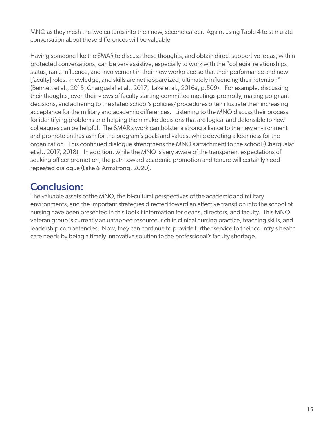MNO as they mesh the two cultures into their new, second career. Again, using Table 4 to stimulate conversation about these differences will be valuable.

Having someone like the SMAR to discuss these thoughts, and obtain direct supportive ideas, within protected conversations, can be very assistive, especially to work with the "collegial relationships, status, rank, influence, and involvement in their new workplace so that their performance and new [faculty] roles, knowledge, and skills are not jeopardized, ultimately influencing their retention" (Bennett et al., 2015; Chargualaf et al., 2017; Lake et al., 2016a, p.509). For example, discussing their thoughts, even their views of faculty starting committee meetings promptly, making poignant decisions, and adhering to the stated school's policies/procedures often illustrate their increasing acceptance for the military and academic differences. Listening to the MNO discuss their process for identifying problems and helping them make decisions that are logical and defensible to new colleagues can be helpful. The SMAR's work can bolster a strong alliance to the new environment and promote enthusiasm for the program's goals and values, while devoting a keenness for the organization. This continued dialogue strengthens the MNO's attachment to the school (Chargualaf et al., 2017, 2018). In addition, while the MNO is very aware of the transparent expectations of seeking officer promotion, the path toward academic promotion and tenure will certainly need repeated dialogue (Lake & Armstrong, 2020).

## Conclusion:

The valuable assets of the MNO, the bi-cultural perspectives of the academic and military environments, and the important strategies directed toward an effective transition into the school of nursing have been presented in this toolkit information for deans, directors, and faculty. This MNO veteran group is currently an untapped resource, rich in clinical nursing practice, teaching skills, and leadership competencies. Now, they can continue to provide further service to their country's health care needs by being a timely innovative solution to the professional's faculty shortage.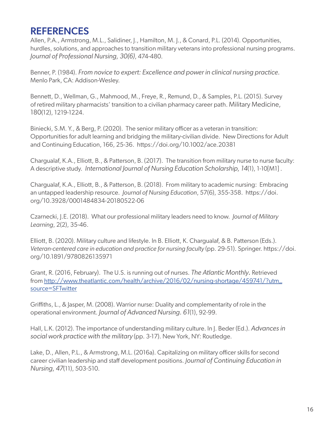## **REFERENCES**

Allen, P.A., Armstrong, M.L., Salidiner, J., Hamilton, M. J., & Conard, P.L. (2014). Opportunities, hurdles, solutions, and approaches to transition military veterans into professional nursing programs. *Journal of Professional Nursing, 30(6)*, 474-480.

Benner, P. (1984). *From novice to expert: Excellence and power in clinical nursing practice.*  Menlo Park, CA: Addison-Wesley.

Bennett, D., Wellman, G., Mahmood, M., Freye, R., Remund, D., & Samples, P.L. (2015). Survey of retired military pharmacists' transition to a civilian pharmacy career path. Military Medicine, 180(12), 1219-1224.

Biniecki, S.M. Y., & Berg, P. (2020). The senior military officer as a veteran in transition: Opportunities for adult learning and bridging the military-civilian divide. New Directions for Adult and Continuing Education, 166, 25-36. https://doi.org/10.1002/ace.20381

Chargualaf, K.A., Elliott, B., & Patterson, B. (2017). The transition from military nurse to nurse faculty: A descriptive study. *International Journal of Nursing Education Scholarship, 14*(1), 1-10[M1] .

Chargualaf, K.A., Elliott, B., & Patterson, B. (2018). From military to academic nursing: Embracing an untapped leadership resource. *Journal of Nursing Education*, 57(6), 355-358. https://doi. org/10.3928/0001484834-20180522-06

Czarnecki, J.E. (2018). What our professional military leaders need to know. *Journal of Military Learning*, 2(2), 35-46.

Elliott, B. (2020). Military culture and lifestyle. In B. Elliott, K. Chargualaf, & B. Patterson (Eds.). *Veteran-centered care in education and practice for nursing faculty* (pp. 29-51). Springer. https://doi. org/10.1891/9780826135971

Grant, R. (2016, February). The U.S. is running out of nurses. *The Atlantic Monthly.* Retrieved from http://www.theatlantic.com/health/archive/2016/02/nursing-shortage/459741/?utm\_ source=SFTwitter

Griffiths, L., & Jasper, M. (2008). Warrior nurse: Duality and complementarity of role in the operational environment. *Journal of Advanced Nursing. 61*(1), 92-99.

Hall, L.K. (2012). The importance of understanding military culture. In J. Beder (Ed.). *Advances in social work practice with the military* (pp. 3-17). New York, NY: Routledge.

Lake, D., Allen, P.L., & Armstrong, M.L. (2016a). Capitalizing on military officer skills for second career civilian leadership and staff development positions. *Journal of Continuing Education in Nursing, 47*(11), 503-510.